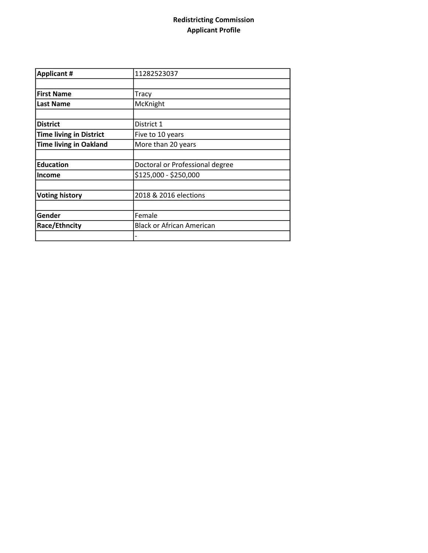## Redistricting Commission Applicant Profile

| <b>Applicant #</b>             | 11282523037                      |
|--------------------------------|----------------------------------|
|                                |                                  |
| <b>First Name</b>              | Tracy                            |
| <b>Last Name</b>               | McKnight                         |
|                                |                                  |
| <b>District</b>                | District 1                       |
| <b>Time living in District</b> | Five to 10 years                 |
| <b>Time living in Oakland</b>  | More than 20 years               |
|                                |                                  |
| <b>Education</b>               | Doctoral or Professional degree  |
| <b>Income</b>                  | \$125,000 - \$250,000            |
|                                |                                  |
| <b>Voting history</b>          | 2018 & 2016 elections            |
|                                |                                  |
| Gender                         | Female                           |
| Race/Ethncity                  | <b>Black or African American</b> |
|                                |                                  |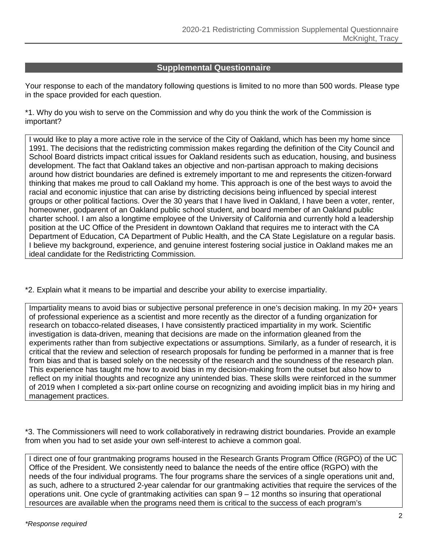## **Supplemental Questionnaire**

Your response to each of the mandatory following questions is limited to no more than 500 words. Please type in the space provided for each question.

\*1. Why do you wish to serve on the Commission and why do you think the work of the Commission is important?

I would like to play a more active role in the service of the City of Oakland, which has been my home since 1991. The decisions that the redistricting commission makes regarding the definition of the City Council and School Board districts impact critical issues for Oakland residents such as education, housing, and business development. The fact that Oakland takes an objective and non-partisan approach to making decisions around how district boundaries are defined is extremely important to me and represents the citizen-forward thinking that makes me proud to call Oakland my home. This approach is one of the best ways to avoid the racial and economic injustice that can arise by districting decisions being influenced by special interest groups or other political factions. Over the 30 years that I have lived in Oakland, I have been a voter, renter, homeowner, godparent of an Oakland public school student, and board member of an Oakland public charter school. I am also a longtime employee of the University of California and currently hold a leadership position at the UC Office of the President in downtown Oakland that requires me to interact with the CA Department of Education, CA Department of Public Health, and the CA State Legislature on a regular basis. I believe my background, experience, and genuine interest fostering social justice in Oakland makes me an ideal candidate for the Redistricting Commission.

\*2. Explain what it means to be impartial and describe your ability to exercise impartiality.

Impartiality means to avoid bias or subjective personal preference in one's decision making. In my 20+ years of professional experience as a scientist and more recently as the director of a funding organization for research on tobacco-related diseases, I have consistently practiced impartiality in my work. Scientific investigation is data-driven, meaning that decisions are made on the information gleaned from the experiments rather than from subjective expectations or assumptions. Similarly, as a funder of research, it is critical that the review and selection of research proposals for funding be performed in a manner that is free from bias and that is based solely on the necessity of the research and the soundness of the research plan. This experience has taught me how to avoid bias in my decision-making from the outset but also how to reflect on my initial thoughts and recognize any unintended bias. These skills were reinforced in the summer of 2019 when I completed a six-part online course on recognizing and avoiding implicit bias in my hiring and management practices.

\*3. The Commissioners will need to work collaboratively in redrawing district boundaries. Provide an example from when you had to set aside your own self-interest to achieve a common goal.

I direct one of four grantmaking programs housed in the Research Grants Program Office (RGPO) of the UC Office of the President. We consistently need to balance the needs of the entire office (RGPO) with the needs of the four individual programs. The four programs share the services of a single operations unit and, as such, adhere to a structured 2-year calendar for our grantmaking activities that require the services of the operations unit. One cycle of grantmaking activities can span 9 – 12 months so insuring that operational resources are available when the programs need them is critical to the success of each program's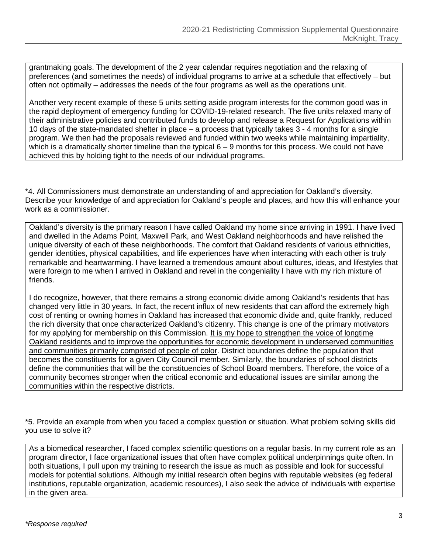grantmaking goals. The development of the 2 year calendar requires negotiation and the relaxing of preferences (and sometimes the needs) of individual programs to arrive at a schedule that effectively – but often not optimally – addresses the needs of the four programs as well as the operations unit.

Another very recent example of these 5 units setting aside program interests for the common good was in the rapid deployment of emergency funding for COVID-19-related research. The five units relaxed many of their administrative policies and contributed funds to develop and release a Request for Applications within 10 days of the state-mandated shelter in place – a process that typically takes 3 - 4 months for a single program. We then had the proposals reviewed and funded within two weeks while maintaining impartiality, which is a dramatically shorter timeline than the typical  $6 - 9$  months for this process. We could not have achieved this by holding tight to the needs of our individual programs.

\*4. All Commissioners must demonstrate an understanding of and appreciation for Oakland's diversity. Describe your knowledge of and appreciation for Oakland's people and places, and how this will enhance your work as a commissioner.

Oakland's diversity is the primary reason I have called Oakland my home since arriving in 1991. I have lived and dwelled in the Adams Point, Maxwell Park, and West Oakland neighborhoods and have relished the unique diversity of each of these neighborhoods. The comfort that Oakland residents of various ethnicities, gender identities, physical capabilities, and life experiences have when interacting with each other is truly remarkable and heartwarming. I have learned a tremendous amount about cultures, ideas, and lifestyles that were foreign to me when I arrived in Oakland and revel in the congeniality I have with my rich mixture of friends.

I do recognize, however, that there remains a strong economic divide among Oakland's residents that has changed very little in 30 years. In fact, the recent influx of new residents that can afford the extremely high cost of renting or owning homes in Oakland has increased that economic divide and, quite frankly, reduced the rich diversity that once characterized Oakland's citizenry. This change is one of the primary motivators for my applying for membership on this Commission. It is my hope to strengthen the voice of longtime Oakland residents and to improve the opportunities for economic development in underserved communities and communities primarily comprised of people of color. District boundaries define the population that becomes the constituents for a given City Council member. Similarly, the boundaries of school districts define the communities that will be the constituencies of School Board members. Therefore, the voice of a community becomes stronger when the critical economic and educational issues are similar among the communities within the respective districts.

\*5. Provide an example from when you faced a complex question or situation. What problem solving skills did you use to solve it?

As a biomedical researcher, I faced complex scientific questions on a regular basis. In my current role as an program director, I face organizational issues that often have complex political underpinnings quite often. In both situations, I pull upon my training to research the issue as much as possible and look for successful models for potential solutions. Although my initial research often begins with reputable websites (eg federal institutions, reputable organization, academic resources), I also seek the advice of individuals with expertise in the given area.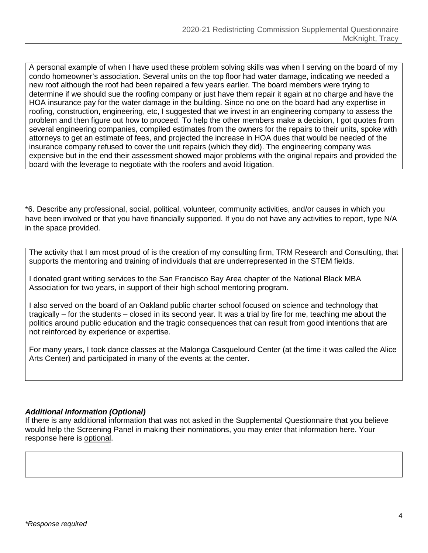A personal example of when I have used these problem solving skills was when I serving on the board of my condo homeowner's association. Several units on the top floor had water damage, indicating we needed a new roof although the roof had been repaired a few years earlier. The board members were trying to determine if we should sue the roofing company or just have them repair it again at no charge and have the HOA insurance pay for the water damage in the building. Since no one on the board had any expertise in roofing, construction, engineering, etc, I suggested that we invest in an engineering company to assess the problem and then figure out how to proceed. To help the other members make a decision, I got quotes from several engineering companies, compiled estimates from the owners for the repairs to their units, spoke with attorneys to get an estimate of fees, and projected the increase in HOA dues that would be needed of the insurance company refused to cover the unit repairs (which they did). The engineering company was expensive but in the end their assessment showed major problems with the original repairs and provided the board with the leverage to negotiate with the roofers and avoid litigation.

\*6. Describe any professional, social, political, volunteer, community activities, and/or causes in which you have been involved or that you have financially supported. If you do not have any activities to report, type N/A in the space provided.

The activity that I am most proud of is the creation of my consulting firm, TRM Research and Consulting, that supports the mentoring and training of individuals that are underrepresented in the STEM fields.

I donated grant writing services to the San Francisco Bay Area chapter of the National Black MBA Association for two years, in support of their high school mentoring program.

I also served on the board of an Oakland public charter school focused on science and technology that tragically – for the students – closed in its second year. It was a trial by fire for me, teaching me about the politics around public education and the tragic consequences that can result from good intentions that are not reinforced by experience or expertise.

For many years, I took dance classes at the Malonga Casquelourd Center (at the time it was called the Alice Arts Center) and participated in many of the events at the center.

## *Additional Information (Optional)*

If there is any additional information that was not asked in the Supplemental Questionnaire that you believe would help the Screening Panel in making their nominations, you may enter that information here. Your response here is optional.